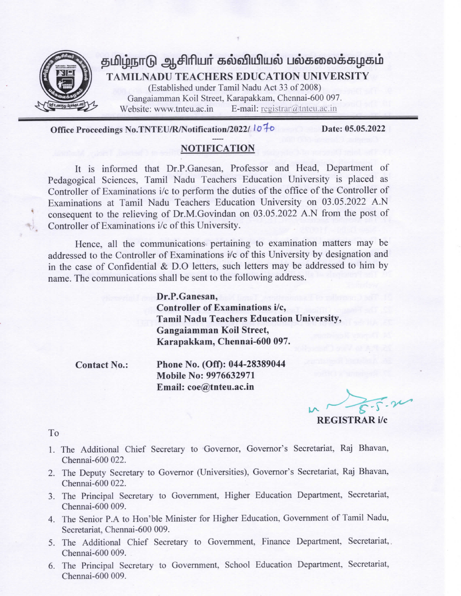

## தமிழ்நாடு ஆசிரியா் கல்வியியல் பல்கலைக்கழகம் TAMILNADU TEACHERS EDUCATION UNIVERSITY

(Established under Tamil Nadu Act 33 of 2008) Gangaiamman Koil Street, Karapakkam, Chennai-600 097. Website: www.tnteu.ac.in E-mail:  $\text{regular}(\widehat{a})$ , the u.ac.in

Office Proceedings No.TNTEU/R/Notification/2022/ 1070 Date: 05.05.2022

## NOTIFICATION

It is informed that Dr.P.Ganesan, Professor and Head, Department of Pedagogical Sciences, Tamil Nadu Teachers Education University is placed as Controller of Examinations i/c to perform the duties of the office of the Controller of Examinations at Tamil Nadu Teachers Education University on 03.05.2022 A.N consequent to the relieving of Dr.M.Govindan on 03.05.2022 A.N from the post of Controller of Examinations i/c of this University.

Hence, all the communications pertaining to examination matters may be addressed to the Controller of Examinations i/c of this University by designation and in the case of Confidential & D.0 letters, such letters may be addressed to him by name. The communications shall be sent to the following address.

> Dr.P.Ganesan, Controller of Examinations i/c, Tamil Nadu Teachers Education University, Gangaiamman Koi] Street, Karapakkam, Chennai-600 097.

Contact No.: Phone No. (Off): 044-28389044 Mobile No: 9976632971 Email: coe@tnteu.ac.in

 $R_{\rm F}-2.2$ 

REGISTRAR i/c

To

- 1. The Additional Chief Secretary to Governor, Govemor's Secretariat, Raj Bhavan, Chemai-600 022.
- 2. The Deputy Secretary to Governor (Universities), Govemor's Secretariat, Raj Bhavan, Chemai-600 022.
- 3. The Principal Secretary to Government, Higher Education Department, Secretariat, Chermai-600 009.
- 4. The Senior P.A to Hon'ble Minister for Higher Education, Government of Tamil Nadu, Secretariat, Chennai-600 009.
- 5. The Additional Chief Secretary to Government, Finance Department, Secretariat,. Chermai-600 009.
- 6. The Principal Secretary to Government, School Education Department, Secretariat, Chemai-600 009.